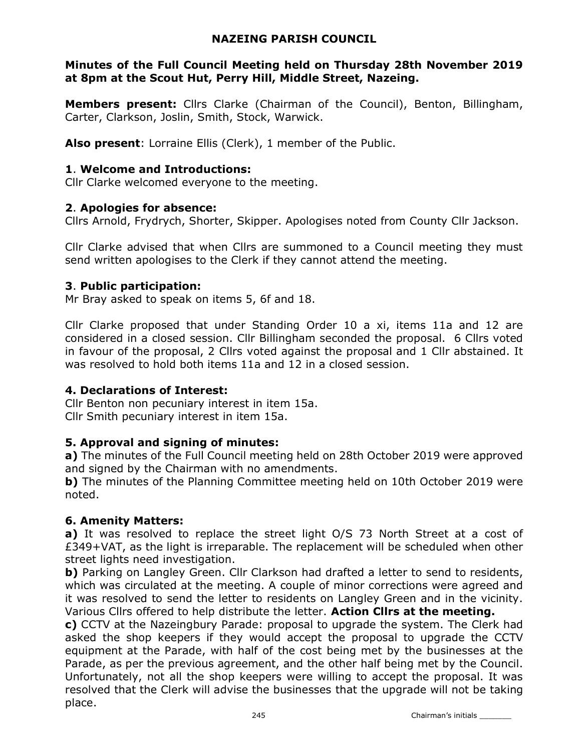### NAZEING PARISH COUNCIL

### Minutes of the Full Council Meeting held on Thursday 28th November 2019 at 8pm at the Scout Hut, Perry Hill, Middle Street, Nazeing.

Members present: Cllrs Clarke (Chairman of the Council), Benton, Billingham, Carter, Clarkson, Joslin, Smith, Stock, Warwick.

Also present: Lorraine Ellis (Clerk), 1 member of the Public.

#### 1. Welcome and Introductions:

Cllr Clarke welcomed everyone to the meeting.

### 2. Apologies for absence:

Cllrs Arnold, Frydrych, Shorter, Skipper. Apologises noted from County Cllr Jackson.

Cllr Clarke advised that when Cllrs are summoned to a Council meeting they must send written apologises to the Clerk if they cannot attend the meeting.

### 3. Public participation:

Mr Bray asked to speak on items 5, 6f and 18.

Cllr Clarke proposed that under Standing Order 10 a xi, items 11a and 12 are considered in a closed session. Cllr Billingham seconded the proposal. 6 Cllrs voted in favour of the proposal, 2 Cllrs voted against the proposal and 1 Cllr abstained. It was resolved to hold both items 11a and 12 in a closed session.

### 4. Declarations of Interest:

Cllr Benton non pecuniary interest in item 15a. Cllr Smith pecuniary interest in item 15a.

### 5. Approval and signing of minutes:

a) The minutes of the Full Council meeting held on 28th October 2019 were approved and signed by the Chairman with no amendments.

b) The minutes of the Planning Committee meeting held on 10th October 2019 were noted.

### 6. Amenity Matters:

a) It was resolved to replace the street light O/S 73 North Street at a cost of £349+VAT, as the light is irreparable. The replacement will be scheduled when other street lights need investigation.

b) Parking on Langley Green. Cllr Clarkson had drafted a letter to send to residents, which was circulated at the meeting. A couple of minor corrections were agreed and it was resolved to send the letter to residents on Langley Green and in the vicinity. Various Cllrs offered to help distribute the letter. Action Cllrs at the meeting.

c) CCTV at the Nazeingbury Parade: proposal to upgrade the system. The Clerk had asked the shop keepers if they would accept the proposal to upgrade the CCTV equipment at the Parade, with half of the cost being met by the businesses at the Parade, as per the previous agreement, and the other half being met by the Council. Unfortunately, not all the shop keepers were willing to accept the proposal. It was resolved that the Clerk will advise the businesses that the upgrade will not be taking place.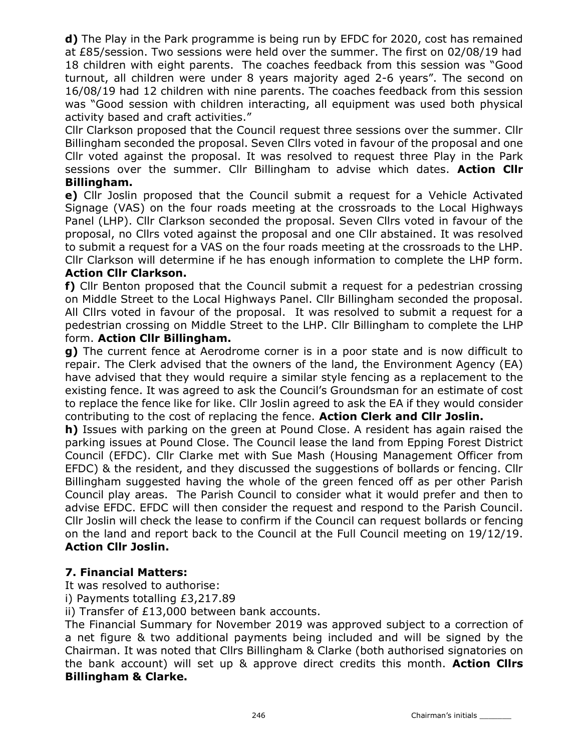d) The Play in the Park programme is being run by EFDC for 2020, cost has remained at £85/session. Two sessions were held over the summer. The first on 02/08/19 had 18 children with eight parents. The coaches feedback from this session was "Good turnout, all children were under 8 years majority aged 2-6 years". The second on 16/08/19 had 12 children with nine parents. The coaches feedback from this session was "Good session with children interacting, all equipment was used both physical activity based and craft activities."

Cllr Clarkson proposed that the Council request three sessions over the summer. Cllr Billingham seconded the proposal. Seven Cllrs voted in favour of the proposal and one Cllr voted against the proposal. It was resolved to request three Play in the Park sessions over the summer. Cllr Billingham to advise which dates. Action Cllr Billingham.

e) Cllr Joslin proposed that the Council submit a request for a Vehicle Activated Signage (VAS) on the four roads meeting at the crossroads to the Local Highways Panel (LHP). Cllr Clarkson seconded the proposal. Seven Cllrs voted in favour of the proposal, no Cllrs voted against the proposal and one Cllr abstained. It was resolved to submit a request for a VAS on the four roads meeting at the crossroads to the LHP. Cllr Clarkson will determine if he has enough information to complete the LHP form.

### Action Cllr Clarkson.

f) Cllr Benton proposed that the Council submit a request for a pedestrian crossing on Middle Street to the Local Highways Panel. Cllr Billingham seconded the proposal. All Cllrs voted in favour of the proposal. It was resolved to submit a request for a pedestrian crossing on Middle Street to the LHP. Cllr Billingham to complete the LHP form. Action Cllr Billingham.

g) The current fence at Aerodrome corner is in a poor state and is now difficult to repair. The Clerk advised that the owners of the land, the Environment Agency (EA) have advised that they would require a similar style fencing as a replacement to the existing fence. It was agreed to ask the Council's Groundsman for an estimate of cost to replace the fence like for like. Cllr Joslin agreed to ask the EA if they would consider contributing to the cost of replacing the fence. Action Clerk and Cllr Joslin.

h) Issues with parking on the green at Pound Close. A resident has again raised the parking issues at Pound Close. The Council lease the land from Epping Forest District Council (EFDC). Cllr Clarke met with Sue Mash (Housing Management Officer from EFDC) & the resident, and they discussed the suggestions of bollards or fencing. Cllr Billingham suggested having the whole of the green fenced off as per other Parish Council play areas. The Parish Council to consider what it would prefer and then to advise EFDC. EFDC will then consider the request and respond to the Parish Council. Cllr Joslin will check the lease to confirm if the Council can request bollards or fencing on the land and report back to the Council at the Full Council meeting on 19/12/19. Action Cllr Joslin.

### 7. Financial Matters:

It was resolved to authorise:

i) Payments totalling £3,217.89

ii) Transfer of £13,000 between bank accounts.

The Financial Summary for November 2019 was approved subject to a correction of a net figure & two additional payments being included and will be signed by the Chairman. It was noted that Cllrs Billingham & Clarke (both authorised signatories on the bank account) will set up & approve direct credits this month. **Action Clirs** Billingham & Clarke.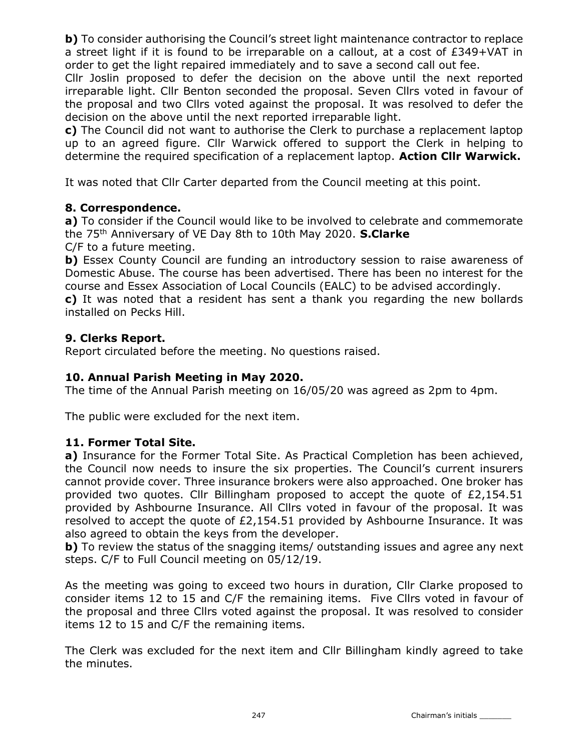**b)** To consider authorising the Council's street light maintenance contractor to replace a street light if it is found to be irreparable on a callout, at a cost of £349+VAT in order to get the light repaired immediately and to save a second call out fee.

Cllr Joslin proposed to defer the decision on the above until the next reported irreparable light. Cllr Benton seconded the proposal. Seven Cllrs voted in favour of the proposal and two Cllrs voted against the proposal. It was resolved to defer the decision on the above until the next reported irreparable light.

c) The Council did not want to authorise the Clerk to purchase a replacement laptop up to an agreed figure. Cllr Warwick offered to support the Clerk in helping to determine the required specification of a replacement laptop. Action Cllr Warwick.

It was noted that Cllr Carter departed from the Council meeting at this point.

## 8. Correspondence.

a) To consider if the Council would like to be involved to celebrate and commemorate the 75<sup>th</sup> Anniversary of VE Day 8th to 10th May 2020. S.Clarke

C/F to a future meeting.

b) Essex County Council are funding an introductory session to raise awareness of Domestic Abuse. The course has been advertised. There has been no interest for the course and Essex Association of Local Councils (EALC) to be advised accordingly.

c) It was noted that a resident has sent a thank you regarding the new bollards installed on Pecks Hill.

## 9. Clerks Report.

Report circulated before the meeting. No questions raised.

### 10. Annual Parish Meeting in May 2020.

The time of the Annual Parish meeting on 16/05/20 was agreed as 2pm to 4pm.

The public were excluded for the next item.

### 11. Former Total Site.

a) Insurance for the Former Total Site. As Practical Completion has been achieved, the Council now needs to insure the six properties. The Council's current insurers cannot provide cover. Three insurance brokers were also approached. One broker has provided two quotes. Cllr Billingham proposed to accept the quote of £2,154.51 provided by Ashbourne Insurance. All Cllrs voted in favour of the proposal. It was resolved to accept the quote of  $E2,154.51$  provided by Ashbourne Insurance. It was also agreed to obtain the keys from the developer.

b) To review the status of the snagging items/ outstanding issues and agree any next steps. C/F to Full Council meeting on 05/12/19.

As the meeting was going to exceed two hours in duration, Cllr Clarke proposed to consider items 12 to 15 and C/F the remaining items. Five Cllrs voted in favour of the proposal and three Cllrs voted against the proposal. It was resolved to consider items 12 to 15 and C/F the remaining items.

The Clerk was excluded for the next item and Cllr Billingham kindly agreed to take the minutes.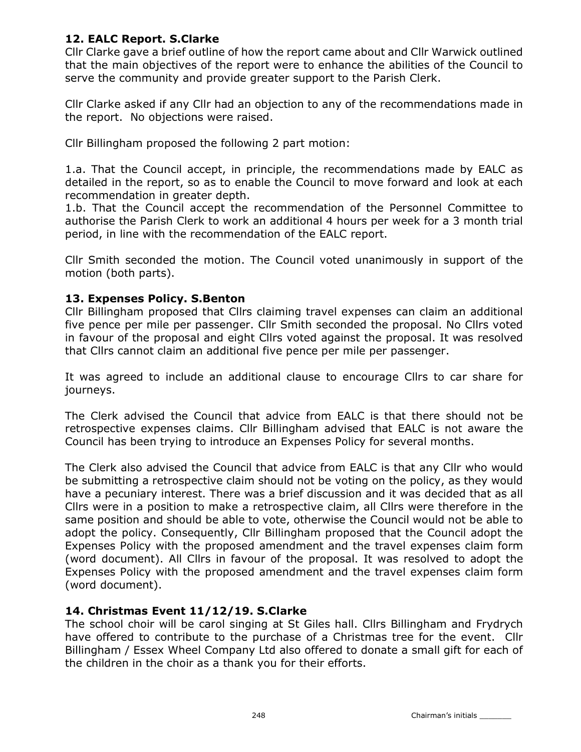# 12. EALC Report. S.Clarke

Cllr Clarke gave a brief outline of how the report came about and Cllr Warwick outlined that the main objectives of the report were to enhance the abilities of the Council to serve the community and provide greater support to the Parish Clerk.

Cllr Clarke asked if any Cllr had an objection to any of the recommendations made in the report. No objections were raised.

Cllr Billingham proposed the following 2 part motion:

1.a. That the Council accept, in principle, the recommendations made by EALC as detailed in the report, so as to enable the Council to move forward and look at each recommendation in greater depth.

1.b. That the Council accept the recommendation of the Personnel Committee to authorise the Parish Clerk to work an additional 4 hours per week for a 3 month trial period, in line with the recommendation of the EALC report.

Cllr Smith seconded the motion. The Council voted unanimously in support of the motion (both parts).

## 13. Expenses Policy. S.Benton

Cllr Billingham proposed that Cllrs claiming travel expenses can claim an additional five pence per mile per passenger. Cllr Smith seconded the proposal. No Cllrs voted in favour of the proposal and eight Cllrs voted against the proposal. It was resolved that Cllrs cannot claim an additional five pence per mile per passenger.

It was agreed to include an additional clause to encourage Cllrs to car share for journeys.

The Clerk advised the Council that advice from EALC is that there should not be retrospective expenses claims. Cllr Billingham advised that EALC is not aware the Council has been trying to introduce an Expenses Policy for several months.

The Clerk also advised the Council that advice from EALC is that any Cllr who would be submitting a retrospective claim should not be voting on the policy, as they would have a pecuniary interest. There was a brief discussion and it was decided that as all Cllrs were in a position to make a retrospective claim, all Cllrs were therefore in the same position and should be able to vote, otherwise the Council would not be able to adopt the policy. Consequently, Cllr Billingham proposed that the Council adopt the Expenses Policy with the proposed amendment and the travel expenses claim form (word document). All Cllrs in favour of the proposal. It was resolved to adopt the Expenses Policy with the proposed amendment and the travel expenses claim form (word document).

### 14. Christmas Event 11/12/19. S.Clarke

The school choir will be carol singing at St Giles hall. Cllrs Billingham and Frydrych have offered to contribute to the purchase of a Christmas tree for the event. Cllr Billingham / Essex Wheel Company Ltd also offered to donate a small gift for each of the children in the choir as a thank you for their efforts.